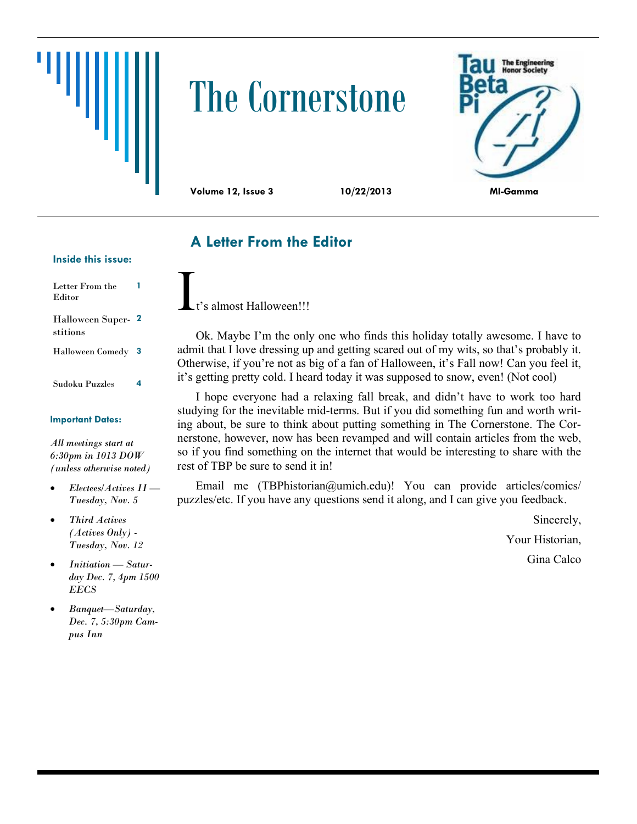# The Cornerstone



# **A Letter From the Editor**

#### **Inside this issue:**

| Letter From the<br>Editor           |    |
|-------------------------------------|----|
| <b>Halloween Super-</b><br>stitions | -2 |
| <b>Halloween Comedy</b>             | 3  |
| Sudoku Puzzles                      | 4  |

#### **Important Dates:**

*All meetings start at 6:30pm in 1013 DOW (unless otherwise noted)*

- *Electees/Actives II — Tuesday, Nov. 5*
- *Third Actives (Actives Only) - Tuesday, Nov. 12*
- *Initiation — Saturday Dec. 7, 4pm 1500 EECS*
- *Banquet—Saturday, Dec. 7, 5:30pm Campus Inn*

's almost Halloween!!!

Ok. Maybe I'm the only one who finds this holiday totally awesome. I have to admit that I love dressing up and getting scared out of my wits, so that's probably it. Otherwise, if you're not as big of a fan of Halloween, it's Fall now! Can you feel it, it's getting pretty cold. I heard today it was supposed to snow, even! (Not cool)

I hope everyone had a relaxing fall break, and didn't have to work too hard studying for the inevitable mid-terms. But if you did something fun and worth writing about, be sure to think about putting something in The Cornerstone. The Cornerstone, however, now has been revamped and will contain articles from the web, so if you find something on the internet that would be interesting to share with the rest of TBP be sure to send it in!

Email me (TBPhistorian@umich.edu)! You can provide articles/comics/ puzzles/etc. If you have any questions send it along, and I can give you feedback.

Sincerely,

Your Historian,

Gina Calco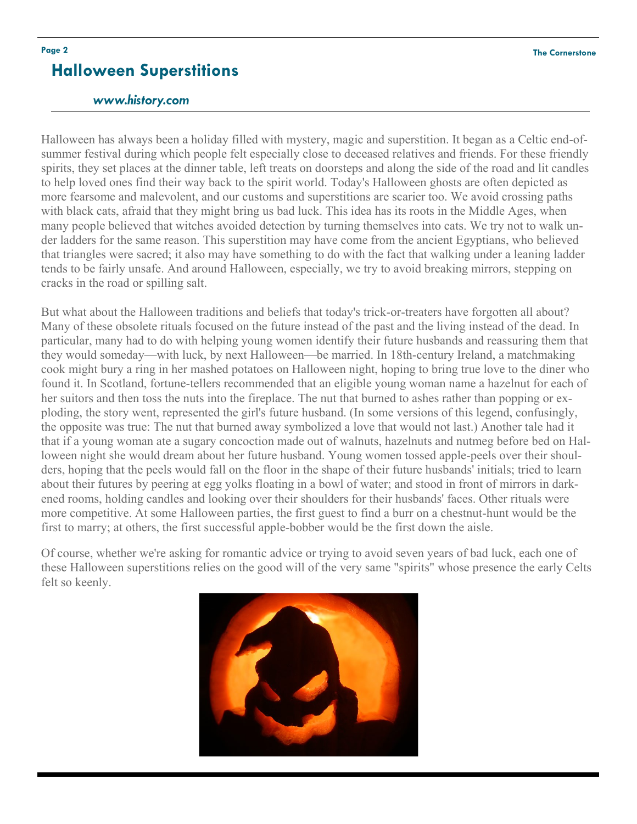## **Halloween Superstitions**

### *www.history.com*

Halloween has always been a holiday filled with mystery, magic and superstition. It began as a Celtic end-ofsummer festival during which people felt especially close to deceased relatives and friends. For these friendly spirits, they set places at the dinner table, left treats on doorsteps and along the side of the road and lit candles to help loved ones find their way back to the spirit world. Today's Halloween ghosts are often depicted as more fearsome and malevolent, and our customs and superstitions are scarier too. We avoid crossing paths with black cats, afraid that they might bring us bad luck. This idea has its roots in the Middle Ages, when many people believed that witches avoided detection by turning themselves into cats. We try not to walk under ladders for the same reason. This superstition may have come from the ancient Egyptians, who believed that triangles were sacred; it also may have something to do with the fact that walking under a leaning ladder tends to be fairly unsafe. And around Halloween, especially, we try to avoid breaking mirrors, stepping on cracks in the road or spilling salt.

But what about the Halloween traditions and beliefs that today's trick-or-treaters have forgotten all about? Many of these obsolete rituals focused on the future instead of the past and the living instead of the dead. In particular, many had to do with helping young women identify their future husbands and reassuring them that they would someday—with luck, by next Halloween—be married. In 18th-century Ireland, a matchmaking cook might bury a ring in her mashed potatoes on Halloween night, hoping to bring true love to the diner who found it. In Scotland, fortune-tellers recommended that an eligible young woman name a hazelnut for each of her suitors and then toss the nuts into the fireplace. The nut that burned to ashes rather than popping or exploding, the story went, represented the girl's future husband. (In some versions of this legend, confusingly, the opposite was true: The nut that burned away symbolized a love that would not last.) Another tale had it that if a young woman ate a sugary concoction made out of walnuts, hazelnuts and nutmeg before bed on Halloween night she would dream about her future husband. Young women tossed apple-peels over their shoulders, hoping that the peels would fall on the floor in the shape of their future husbands' initials; tried to learn about their futures by peering at egg yolks floating in a bowl of water; and stood in front of mirrors in darkened rooms, holding candles and looking over their shoulders for their husbands' faces. Other rituals were more competitive. At some Halloween parties, the first guest to find a burr on a chestnut-hunt would be the first to marry; at others, the first successful apple-bobber would be the first down the aisle.

Of course, whether we're asking for romantic advice or trying to avoid seven years of bad luck, each one of these Halloween superstitions relies on the good will of the very same "spirits" whose presence the early Celts felt so keenly.

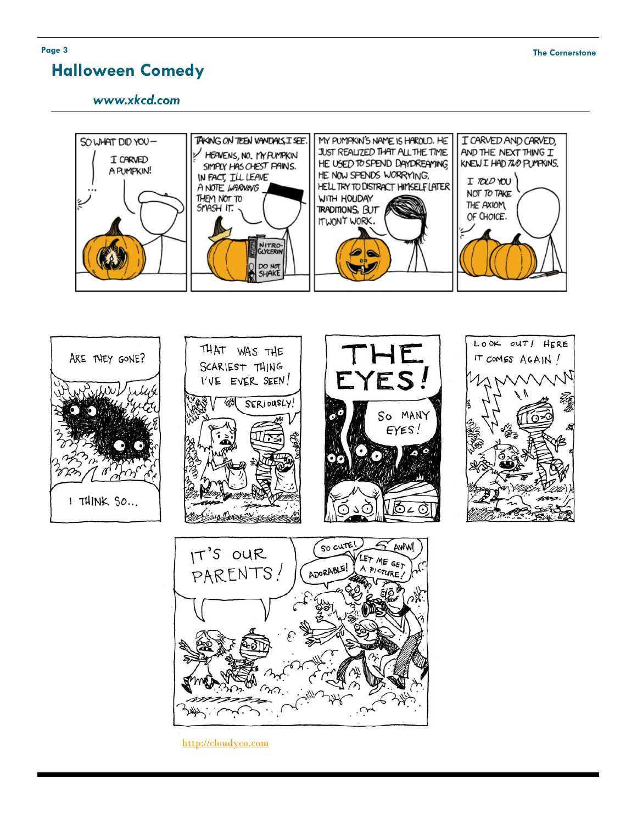# **Halloween Comedy**





لمكلفاته

[http://cloudyco.com](http://cloudyco.com/)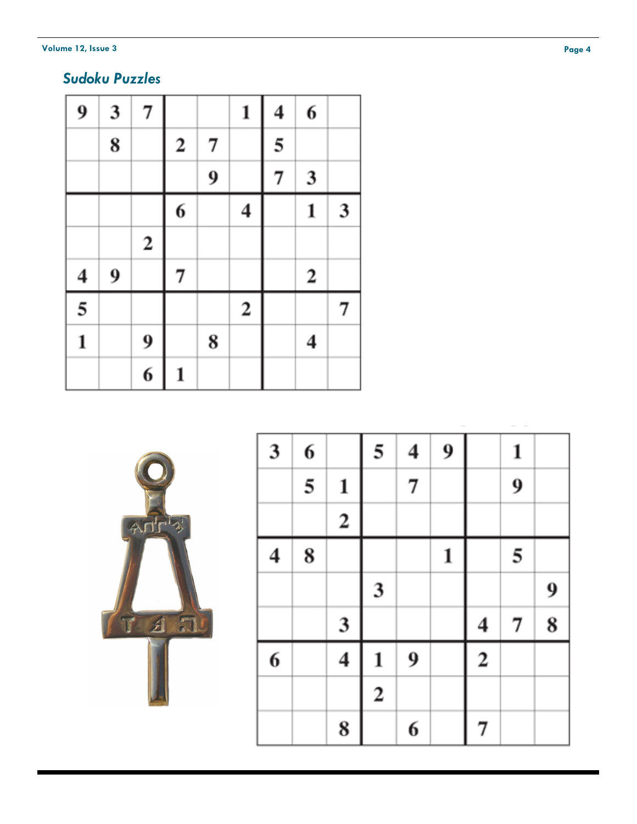#### **Volume 12, Issue 3**

# *Sudoku Puzzles*

| 9                       | 3                | 7                |             |   | 1                | $\overline{\mathbf{4}}$ | 6                |   |
|-------------------------|------------------|------------------|-------------|---|------------------|-------------------------|------------------|---|
|                         | 8                |                  | $\mathbf 2$ | 7 |                  | 5                       |                  |   |
|                         |                  |                  |             | 9 |                  | 7                       | 3                |   |
|                         |                  |                  | 6           |   | 4                |                         | $\mathbf{1}$     | 3 |
|                         |                  | $\boldsymbol{2}$ |             |   |                  |                         |                  |   |
| $\overline{\mathbf{4}}$ | $\boldsymbol{9}$ |                  | 7           |   |                  |                         | $\boldsymbol{2}$ |   |
| $\overline{5}$          |                  |                  |             |   | $\boldsymbol{2}$ |                         |                  | 7 |
| $\mathbf{1}$            |                  | 9                |             | 8 |                  |                         | 4                |   |
|                         |                  | $\overline{6}$   | 1           |   |                  |                         |                  |   |



| $\overline{\mathbf{3}}$ | 6 |                         | 5                       | $\overline{\mathbf{4}}$ | $\boldsymbol{9}$ |                         | 1 |   |
|-------------------------|---|-------------------------|-------------------------|-------------------------|------------------|-------------------------|---|---|
|                         | 5 | $\mathbf{1}$            |                         | 7                       |                  |                         | 9 |   |
|                         |   | $\overline{\mathbf{c}}$ |                         |                         |                  |                         |   |   |
| 4                       | 8 |                         |                         |                         | $\mathbf{1}$     |                         | 5 |   |
|                         |   |                         | $\overline{\mathbf{3}}$ |                         |                  |                         |   | 9 |
|                         |   | 3                       |                         |                         |                  | 4                       | 7 | 8 |
| 6                       |   | 4                       | 1                       | 9                       |                  | $\overline{\mathbf{c}}$ |   |   |
|                         |   |                         | $\overline{\mathbf{c}}$ |                         |                  |                         |   |   |
|                         |   | 8                       |                         | 6                       |                  | 7                       |   |   |

٦